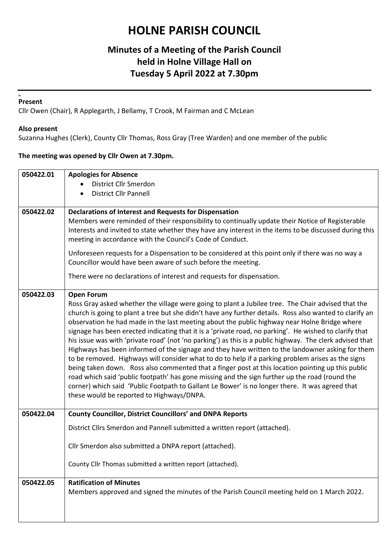## **HOLNE PARISH COUNCIL**

### **Minutes of a Meeting of the Parish Council held in Holne Village Hall on Tuesday 5 April 2022 at 7.30pm**

#### **Ar Present**

Cllr Owen (Chair), R Applegarth, J Bellamy, T Crook, M Fairman and C McLean

#### **Also present**

Suzanna Hughes (Clerk), County Cllr Thomas, Ross Gray (Tree Warden) and one member of the public

#### **The meeting was opened by Cllr Owen at 7.30pm.**

| 050422.01 | <b>Apologies for Absence</b>                                                                                                                                                                                       |
|-----------|--------------------------------------------------------------------------------------------------------------------------------------------------------------------------------------------------------------------|
|           | District Cllr Smerdon                                                                                                                                                                                              |
|           | <b>District Cllr Pannell</b><br>$\bullet$                                                                                                                                                                          |
|           |                                                                                                                                                                                                                    |
| 050422.02 | <b>Declarations of Interest and Requests for Dispensation</b><br>Members were reminded of their responsibility to continually update their Notice of Registerable                                                  |
|           | Interests and invited to state whether they have any interest in the items to be discussed during this<br>meeting in accordance with the Council's Code of Conduct.                                                |
|           | Unforeseen requests for a Dispensation to be considered at this point only if there was no way a<br>Councillor would have been aware of such before the meeting.                                                   |
|           | There were no declarations of interest and requests for dispensation.                                                                                                                                              |
| 050422.03 | <b>Open Forum</b>                                                                                                                                                                                                  |
|           | Ross Gray asked whether the village were going to plant a Jubilee tree. The Chair advised that the                                                                                                                 |
|           | church is going to plant a tree but she didn't have any further details. Ross also wanted to clarify an                                                                                                            |
|           | observation he had made in the last meeting about the public highway near Holne Bridge where                                                                                                                       |
|           | signage has been erected indicating that it is a 'private road, no parking'. He wished to clarify that<br>his issue was with 'private road' (not 'no parking') as this is a public highway. The clerk advised that |
|           | Highways has been informed of the signage and they have written to the landowner asking for them                                                                                                                   |
|           | to be removed. Highways will consider what to do to help if a parking problem arises as the signs                                                                                                                  |
|           | being taken down. Ross also commented that a finger post at this location pointing up this public                                                                                                                  |
|           | road which said 'public footpath' has gone missing and the sign further up the road (round the                                                                                                                     |
|           | corner) which said 'Public Footpath to Gallant Le Bower' is no longer there. It was agreed that                                                                                                                    |
|           | these would be reported to Highways/DNPA.                                                                                                                                                                          |
| 050422.04 | <b>County Councillor, District Councillors' and DNPA Reports</b>                                                                                                                                                   |
|           | District Cllrs Smerdon and Pannell submitted a written report (attached).                                                                                                                                          |
|           |                                                                                                                                                                                                                    |
|           | Cllr Smerdon also submitted a DNPA report (attached).                                                                                                                                                              |
|           | County Cllr Thomas submitted a written report (attached).                                                                                                                                                          |
|           |                                                                                                                                                                                                                    |
| 050422.05 | <b>Ratification of Minutes</b>                                                                                                                                                                                     |
|           | Members approved and signed the minutes of the Parish Council meeting held on 1 March 2022.                                                                                                                        |
|           |                                                                                                                                                                                                                    |
|           |                                                                                                                                                                                                                    |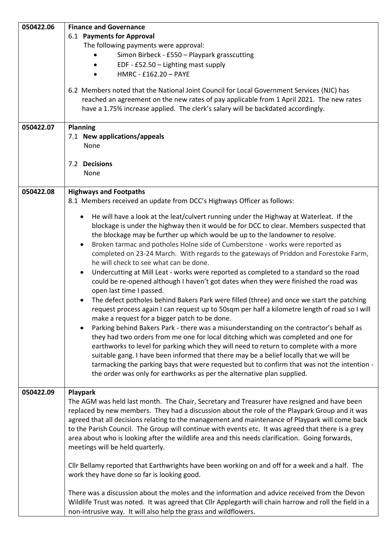| 050422.06 | <b>Finance and Governance</b>                                                                                                                  |
|-----------|------------------------------------------------------------------------------------------------------------------------------------------------|
|           | 6.1 Payments for Approval                                                                                                                      |
|           | The following payments were approval:                                                                                                          |
|           | Simon Birbeck - £550 - Playpark grasscutting                                                                                                   |
|           | EDF - £52.50 - Lighting mast supply                                                                                                            |
|           | HMRC - £162.20 - PAYE                                                                                                                          |
|           |                                                                                                                                                |
|           | 6.2 Members noted that the National Joint Council for Local Government Services (NJC) has                                                      |
|           | reached an agreement on the new rates of pay applicable from 1 April 2021. The new rates                                                       |
|           | have a 1.75% increase applied. The clerk's salary will be backdated accordingly.                                                               |
|           |                                                                                                                                                |
| 050422.07 | <b>Planning</b>                                                                                                                                |
|           | 7.1 New applications/appeals                                                                                                                   |
|           | None                                                                                                                                           |
|           |                                                                                                                                                |
|           | 7.2 Decisions                                                                                                                                  |
|           | None                                                                                                                                           |
|           |                                                                                                                                                |
| 050422.08 | <b>Highways and Footpaths</b>                                                                                                                  |
|           | 8.1 Members received an update from DCC's Highways Officer as follows:                                                                         |
|           |                                                                                                                                                |
|           | He will have a look at the leat/culvert running under the Highway at Waterleat. If the<br>$\bullet$                                            |
|           | blockage is under the highway then it would be for DCC to clear. Members suspected that                                                        |
|           | the blockage may be further up which would be up to the landowner to resolve.                                                                  |
|           | Broken tarmac and potholes Holne side of Cumberstone - works were reported as<br>$\bullet$                                                     |
|           | completed on 23-24 March. With regards to the gateways of Priddon and Forestoke Farm,                                                          |
|           | he will check to see what can be done.                                                                                                         |
|           | Undercutting at Mill Leat - works were reported as completed to a standard so the road<br>$\bullet$                                            |
|           | could be re-opened although I haven't got dates when they were finished the road was                                                           |
|           | open last time I passed.                                                                                                                       |
|           | The defect potholes behind Bakers Park were filled (three) and once we start the patching                                                      |
|           | request process again I can request up to 50sqm per half a kilometre length of road so I will                                                  |
|           | make a request for a bigger patch to be done.                                                                                                  |
|           | Parking behind Bakers Park - there was a misunderstanding on the contractor's behalf as<br>$\bullet$                                           |
|           | they had two orders from me one for local ditching which was completed and one for                                                             |
|           | earthworks to level for parking which they will need to return to complete with a more                                                         |
|           | suitable gang. I have been informed that there may be a belief locally that we will be                                                         |
|           | tarmacking the parking bays that were requested but to confirm that was not the intention -                                                    |
|           | the order was only for earthworks as per the alternative plan supplied.                                                                        |
|           |                                                                                                                                                |
| 050422.09 | Playpark                                                                                                                                       |
|           | The AGM was held last month. The Chair, Secretary and Treasurer have resigned and have been                                                    |
|           | replaced by new members. They had a discussion about the role of the Playpark Group and it was                                                 |
|           | agreed that all decisions relating to the management and maintenance of Playpark will come back                                                |
|           | to the Parish Council. The Group will continue with events etc. It was agreed that there is a grey                                             |
|           |                                                                                                                                                |
|           | area about who is looking after the wildlife area and this needs clarification. Going forwards,                                                |
|           | meetings will be held quarterly.                                                                                                               |
|           |                                                                                                                                                |
|           | Cllr Bellamy reported that Earthwrights have been working on and off for a week and a half. The<br>work they have done so far is looking good. |
|           |                                                                                                                                                |
|           | There was a discussion about the moles and the information and advice received from the Devon                                                  |
|           | Wildlife Trust was noted. It was agreed that Cllr Applegarth will chain harrow and roll the field in a                                         |
|           | non-intrusive way. It will also help the grass and wildflowers.                                                                                |
|           |                                                                                                                                                |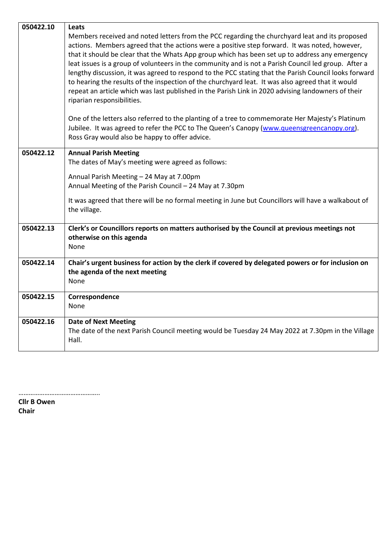| 050422.10 | Leats                                                                                                                                                                                                                                                                                                                                                                                                                                                                                                                                                                                                                                                                                                                                                        |
|-----------|--------------------------------------------------------------------------------------------------------------------------------------------------------------------------------------------------------------------------------------------------------------------------------------------------------------------------------------------------------------------------------------------------------------------------------------------------------------------------------------------------------------------------------------------------------------------------------------------------------------------------------------------------------------------------------------------------------------------------------------------------------------|
|           | Members received and noted letters from the PCC regarding the churchyard leat and its proposed<br>actions. Members agreed that the actions were a positive step forward. It was noted, however,<br>that it should be clear that the Whats App group which has been set up to address any emergency<br>leat issues is a group of volunteers in the community and is not a Parish Council led group. After a<br>lengthy discussion, it was agreed to respond to the PCC stating that the Parish Council looks forward<br>to hearing the results of the inspection of the churchyard leat. It was also agreed that it would<br>repeat an article which was last published in the Parish Link in 2020 advising landowners of their<br>riparian responsibilities. |
|           | One of the letters also referred to the planting of a tree to commemorate Her Majesty's Platinum<br>Jubilee. It was agreed to refer the PCC to The Queen's Canopy (www.queensgreencanopy.org).<br>Ross Gray would also be happy to offer advice.                                                                                                                                                                                                                                                                                                                                                                                                                                                                                                             |
| 050422.12 | <b>Annual Parish Meeting</b><br>The dates of May's meeting were agreed as follows:                                                                                                                                                                                                                                                                                                                                                                                                                                                                                                                                                                                                                                                                           |
|           | Annual Parish Meeting - 24 May at 7.00pm<br>Annual Meeting of the Parish Council - 24 May at 7.30pm                                                                                                                                                                                                                                                                                                                                                                                                                                                                                                                                                                                                                                                          |
|           | It was agreed that there will be no formal meeting in June but Councillors will have a walkabout of<br>the village.                                                                                                                                                                                                                                                                                                                                                                                                                                                                                                                                                                                                                                          |
| 050422.13 | Clerk's or Councillors reports on matters authorised by the Council at previous meetings not<br>otherwise on this agenda<br>None                                                                                                                                                                                                                                                                                                                                                                                                                                                                                                                                                                                                                             |
| 050422.14 | Chair's urgent business for action by the clerk if covered by delegated powers or for inclusion on<br>the agenda of the next meeting<br>None                                                                                                                                                                                                                                                                                                                                                                                                                                                                                                                                                                                                                 |
| 050422.15 | Correspondence<br>None                                                                                                                                                                                                                                                                                                                                                                                                                                                                                                                                                                                                                                                                                                                                       |
| 050422.16 | <b>Date of Next Meeting</b><br>The date of the next Parish Council meeting would be Tuesday 24 May 2022 at 7.30pm in the Village<br>Hall.                                                                                                                                                                                                                                                                                                                                                                                                                                                                                                                                                                                                                    |

………………………………………..

**Cllr B Owen Chair**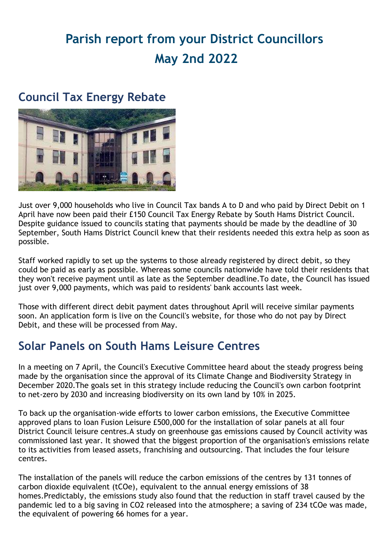# **Parish report from your District Councillors May 2nd 2022**

### **Council Tax Energy Rebate**



Just over 9,000 households who live in Council Tax bands A to D and who paid by Direct Debit on 1 April have now been paid their £150 Council Tax Energy Rebate by South Hams District Council. Despite guidance issued to councils stating that payments should be made by the deadline of 30 September, South Hams District Council knew that their residents needed this extra help as soon as possible.

Staff worked rapidly to set up the systems to those already registered by direct debit, so they could be paid as early as possible. Whereas some councils nationwide have told their residents that they won't receive payment until as late as the September deadline.To date, the Council has issued just over 9,000 payments, which was paid to residents' bank accounts last week.

Those with different direct debit payment dates throughout April will receive similar payments soon. An application form is live on the Council's website, for those who do not pay by Direct Debit, and these will be processed from May.

### **Solar Panels on South Hams Leisure Centres**

In a meeting on 7 April, the Council's Executive Committee heard about the steady progress being made by the organisation since the approval of its Climate Change and Biodiversity Strategy in December 2020.The goals set in this strategy include reducing the Council's own carbon footprint to net-zero by 2030 and increasing biodiversity on its own land by 10% in 2025.

To back up the organisation-wide efforts to lower carbon emissions, the Executive Committee approved plans to loan Fusion Leisure £500,000 for the installation of solar panels at all four District Council leisure centres.A study on greenhouse gas emissions caused by Council activity was commissioned last year. It showed that the biggest proportion of the organisation's emissions relate to its activities from leased assets, franchising and outsourcing. That includes the four leisure centres.

The installation of the panels will reduce the carbon emissions of the centres by 131 tonnes of carbon dioxide equivalent (tCOe), equivalent to the annual energy emissions of 38 homes.Predictably, the emissions study also found that the reduction in staff travel caused by the pandemic led to a big saving in CO2 released into the atmosphere; a saving of 234 tCOe was made, the equivalent of powering 66 homes for a year.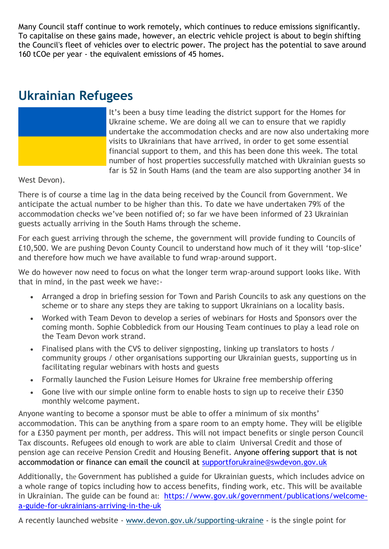Many Council staff continue to work remotely, which continues to reduce emissions significantly. To capitalise on these gains made, however, an electric vehicle project is about to begin shifting the Council's fleet of vehicles over to electric power. The project has the potential to save around 160 tCOe per year - the equivalent emissions of 45 homes.

### **Ukrainian Refugees**



It's been a busy time leading the district support for the Homes for Ukraine scheme. We are doing all we can to ensure that we rapidly undertake the accommodation checks and are now also undertaking more visits to Ukrainians that have arrived, in order to get some essential financial support to them, and this has been done this week. The total number of host properties successfully matched with Ukrainian guests so far is 52 in South Hams (and the team are also supporting another 34 in

### West Devon).

There is of course a time lag in the data being received by the Council from Government. We anticipate the actual number to be higher than this. To date we have undertaken 79% of the accommodation checks we've been notified of; so far we have been informed of 23 Ukrainian guests actually arriving in the South Hams through the scheme.

For each guest arriving through the scheme, the government will provide funding to Councils of £10,500. We are pushing Devon County Council to understand how much of it they will 'top-slice' and therefore how much we have available to fund wrap-around support.

We do however now need to focus on what the longer term wrap-around support looks like. With that in mind, in the past week we have:-

- Arranged a drop in briefing session for Town and Parish Councils to ask any questions on the scheme or to share any steps they are taking to support Ukrainians on a locality basis.
- Worked with Team Devon to develop a series of webinars for Hosts and Sponsors over the coming month. Sophie Cobbledick from our Housing Team continues to play a lead role on the Team Devon work strand.
- Finalised plans with the CVS to deliver signposting, linking up translators to hosts / community groups / other organisations supporting our Ukrainian guests, supporting us in facilitating regular webinars with hosts and guests
- Formally launched the Fusion Leisure Homes for Ukraine free membership offering
- Gone live with our simple online form to enable hosts to sign up to receive their £350 monthly welcome payment.

Anyone wanting to become a sponsor must be able to offer a minimum of six months' accommodation. This can be anything from a spare room to an empty home. They will be eligible for a £350 payment per month, per address. This will not impact benefits or single person Council Tax discounts. Refugees old enough to work are able to claim Universal Credit and those of pension age can receive Pension Credit and Housing Benefit. Anyone offering support that is not accommodation or finance can email the council at [supportforukraine@swdevon.gov.uk](mailto:supportforukraine@swdevon.gov.uk)

Additionally, the Government has published a guide for Ukrainian guests, which includes advice on a whole range of topics including how to access benefits, finding work, etc. This will be available in Ukrainian. The guide can be found at: [https://www.gov.uk/government/publications/welcome](https://www.gov.uk/government/publications/welcome-a-guide-for-ukrainians-arriving-in-the-uk)[a-guide-for-ukrainians-arriving-in-the-uk](https://www.gov.uk/government/publications/welcome-a-guide-for-ukrainians-arriving-in-the-uk)

A recently launched website - [www.devon.gov.uk/supporting-ukraine](https://lnks.gd/l/eyJhbGciOiJIUzI1NiJ9.eyJidWxsZXRpbl9saW5rX2lkIjoxMDEsInVyaSI6ImJwMjpjbGljayIsImJ1bGxldGluX2lkIjoiMjAyMjA0MDguNTYxMzkwNTEiLCJ1cmwiOiJodHRwOi8vd3d3LmRldm9uLmdvdi51ay9zdXBwb3J0aW5nLXVrcmFpbmUifQ.A5TrY-ZHw2bPwjbGUGrs7rsxpS5uxF3WB-NNf5IqMHA/s/1119924190/br/129562152861-l) - is the single point for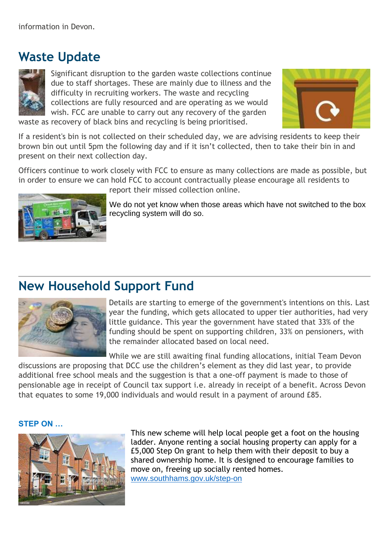## **Waste Update**



Significant disruption to the garden waste collections continue due to staff shortages. These are mainly due to illness and the difficulty in recruiting workers. The waste and recycling collections are fully resourced and are operating as we would wish. FCC are unable to carry out any recovery of the garden waste as recovery of black bins and recycling is being prioritised.



If a resident's bin is not collected on their scheduled day, we are advising residents to keep their brown bin out until 5pm the following day and if it isn't collected, then to take their bin in and present on their next collection day.

Officers continue to work closely with FCC to ensure as many collections are made as possible, but in order to ensure we can hold FCC to account contractually please encourage all residents to



report their missed collection online.

We do not yet know when those areas which have not switched to the box recycling system will do so.

## **New Household Support Fund**



Details are starting to emerge of the government's intentions on this. Last year the funding, which gets allocated to upper tier authorities, had very little guidance. This year the government have stated that 33% of the funding should be spent on supporting children, 33% on pensioners, with the remainder allocated based on local need.

While we are still awaiting final funding allocations, initial Team Devon

discussions are proposing that DCC use the children's element as they did last year, to provide additional free school meals and the suggestion is that a one-off payment is made to those of pensionable age in receipt of Council tax support i.e. already in receipt of a benefit. Across Devon that equates to some 19,000 individuals and would result in a payment of around £85.

#### **STEP ON …**



This new scheme will help local people get a foot on the housing ladder. Anyone renting a social housing property can apply for a £5,000 Step On grant to help them with their deposit to buy a shared ownership home. It is designed to encourage families to move on, freeing up socially rented homes. [www.southhams.gov.uk/step-on](https://track.vuelio.uk.com/z.z?l=aHR0cDovL3d3dy5zb3V0aGhhbXMuZ292LnVrL3N0ZXAtb24%3d&r=13734374639&d=16084960&p=1&t=h&h=1c21a18f57762425df134c4989e91f02)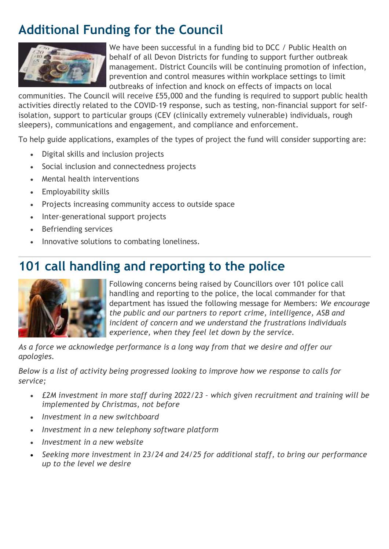## **Additional Funding for the Council**



We have been successful in a funding bid to DCC / Public Health on behalf of all Devon Districts for funding to support further outbreak management. District Councils will be continuing promotion of infection, prevention and control measures within workplace settings to limit outbreaks of infection and knock on effects of impacts on local

communities. The Council will receive £55,000 and the funding is required to support public health activities directly related to the COVID-19 response, such as testing, non-financial support for selfisolation, support to particular groups (CEV (clinically extremely vulnerable) individuals, rough sleepers), communications and engagement, and compliance and enforcement.

To help guide applications, examples of the types of project the fund will consider supporting are:

- Digital skills and inclusion projects
- Social inclusion and connectedness projects
- Mental health interventions
- Employability skills
- Projects increasing community access to outside space
- Inter-generational support projects
- Befriending services
- Innovative solutions to combating loneliness.

## **101 call handling and reporting to the police**



Following concerns being raised by Councillors over 101 police call handling and reporting to the police, the local commander for that department has issued the following message for Members: *We encourage the public and our partners to report crime, intelligence, ASB and incident of concern and we understand the frustrations individuals experience, when they feel let down by the service.*

*As a force we acknowledge performance is a long way from that we desire and offer our apologies.* 

*Below is a list of activity being progressed looking to improve how we response to calls for service;*

- *£2M investment in more staff during 2022/23 – which given recruitment and training will be implemented by Christmas, not before*
- *Investment in a new switchboard*
- *Investment in a new telephony software platform*
- *Investment in a new website*
- *Seeking more investment in 23/24 and 24/25 for additional staff, to bring our performance up to the level we desire*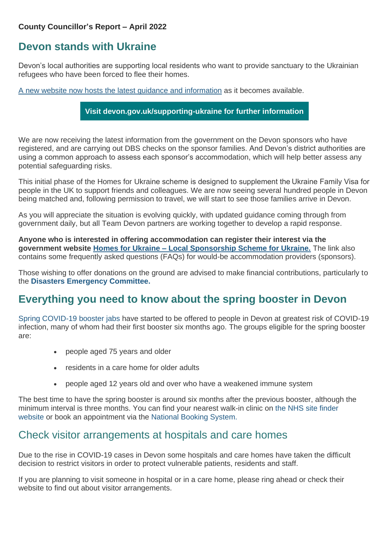#### **County Councillor's Report – April 2022**

### **Devon stands with Ukraine**

Devon's local authorities are supporting local residents who want to provide sanctuary to the Ukrainian refugees who have been forced to flee their homes.

A [new website now hosts the latest guidance and information](https://www.devon.gov.uk/news/new-website-to-help-support-ukrainian-refugees-launched/) as it becomes available.

**[Visit devon.gov.uk/supporting-ukraine for further information](https://www.devon.gov.uk/supporting-ukraine/)**

We are now receiving the latest information from the government on the Devon sponsors who have registered, and are carrying out DBS checks on the sponsor families. And Devon's district authorities are using a common approach to assess each sponsor's accommodation, which will help better assess any potential safeguarding risks.

This initial phase of the Homes for Ukraine scheme is designed to supplement the Ukraine Family Visa for people in the UK to support friends and colleagues. We are now seeing several hundred people in Devon being matched and, following permission to travel, we will start to see those families arrive in Devon.

As you will appreciate the situation is evolving quickly, with updated guidance coming through from government daily, but all Team Devon partners are working together to develop a rapid response.

**Anyone who is interested in offering accommodation can register their interest via the government website Homes for Ukraine – [Local Sponsorship Scheme for Ukraine.](https://eur02.safelinks.protection.outlook.com/?url=https%3A%2F%2Fhomesforukraine.campaign.gov.uk%2F&data=04%7C01%7Cmairi.hamilton%40devon.gov.uk%7Cf49231e06099488363cf08da067b0c2e%7C8da13783cb68443fbb4b997f77fd5bfb%7C0%7C0%7C637829422793304132%7CUnknown%7CTWFpbGZsb3d8eyJWIjoiMC4wLjAwMDAiLCJQIjoiV2luMzIiLCJBTiI6Ik1haWwiLCJXVCI6Mn0%3D%7C3000&sdata=NWh0LjYun2ghZWX1wY6%2FfXFIIVvbFot9H2m%2BBWwhal4%3D&reserved=0)** The link also contains some frequently asked questions (FAQs) for would-be accommodation providers (sponsors).

Those wishing to offer donations on the ground are advised to make financial contributions, particularly to the **[Disasters Emergency Committee.](https://eur02.safelinks.protection.outlook.com/?url=https%3A%2F%2Fwww.dec.org.uk%2F&data=04%7C01%7Cmairi.hamilton%40devon.gov.uk%7Cf49231e06099488363cf08da067b0c2e%7C8da13783cb68443fbb4b997f77fd5bfb%7C0%7C0%7C637829422793304132%7CUnknown%7CTWFpbGZsb3d8eyJWIjoiMC4wLjAwMDAiLCJQIjoiV2luMzIiLCJBTiI6Ik1haWwiLCJXVCI6Mn0%3D%7C3000&sdata=Ji2yY3d7XiXCaJ0tb49QNO9UO1vOnnu0GjZ%2BWGM8a60%3D&reserved=0)**

### **Everything you need to know about the spring booster in Devon**

Spring COVID-19 booster jabs have started to be offered to people in Devon at greatest risk of COVID-19 infection, many of whom had their first booster six months ago. The groups eligible for the spring booster are:

- people aged 75 years and older
- residents in a care home for older adults
- people aged 12 years old and over who have a weakened immune system

The best time to have the spring booster is around six months after the previous booster, although the minimum interval is three months. You can find your nearest walk-in clinic on the NHS site finder website or book an appointment via the National Booking System.

### Check visitor arrangements at hospitals and care homes

Due to the rise in COVID-19 cases in Devon some hospitals and care homes have taken the difficult decision to restrict visitors in order to protect vulnerable patients, residents and staff.

If you are planning to visit someone in hospital or in a care home, please ring ahead or check their website to find out about visitor arrangements.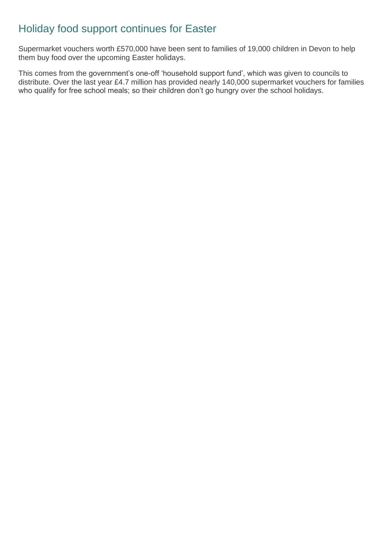### Holiday food support continues for Easter

Supermarket vouchers worth £570,000 have been sent to families of 19,000 children in Devon to help them buy food over the upcoming Easter holidays.

This comes from the government's one-off 'household support fund', which was given to councils to distribute. Over the last year £4.7 million has provided nearly 140,000 supermarket vouchers for families who qualify for free school meals; so their children don't go hungry over the school holidays.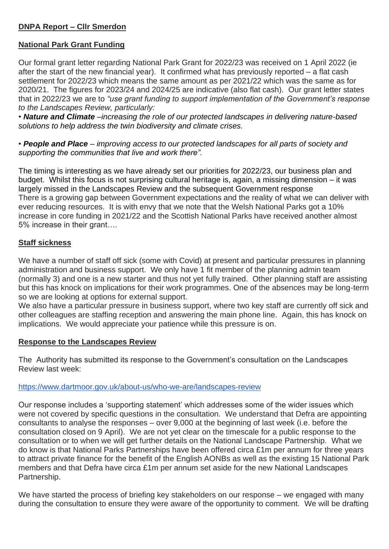### **DNPA Report – Cllr Smerdon**

### **National Park Grant Funding**

Our formal grant letter regarding National Park Grant for 2022/23 was received on 1 April 2022 (ie after the start of the new financial year). It confirmed what has previously reported – a flat cash settlement for 2022/23 which means the same amount as per 2021/22 which was the same as for 2020/21. The figures for 2023/24 and 2024/25 are indicative (also flat cash). Our grant letter states that in 2022/23 we are to *"use grant funding to support implementation of the Government's response to the Landscapes Review, particularly:*

*• Nature and Climate –increasing the role of our protected landscapes in delivering nature-based solutions to help address the twin biodiversity and climate crises.*

*• People and Place – improving access to our protected landscapes for all parts of society and supporting the communities that live and work there".*

The timing is interesting as we have already set our priorities for 2022/23, our business plan and budget. Whilst this focus is not surprising cultural heritage is, again, a missing dimension – it was largely missed in the Landscapes Review and the subsequent Government response There is a growing gap between Government expectations and the reality of what we can deliver with ever reducing resources. It is with envy that we note that the Welsh National Parks got a 10% increase in core funding in 2021/22 and the Scottish National Parks have received another almost 5% increase in their grant….

### **Staff sickness**

We have a number of staff off sick (some with Covid) at present and particular pressures in planning administration and business support. We only have 1 fit member of the planning admin team (normally 3) and one is a new starter and thus not yet fully trained. Other planning staff are assisting but this has knock on implications for their work programmes. One of the absences may be long-term so we are looking at options for external support.

We also have a particular pressure in business support, where two key staff are currently off sick and other colleagues are staffing reception and answering the main phone line. Again, this has knock on implications. We would appreciate your patience while this pressure is on.

#### **Response to the Landscapes Review**

The Authority has submitted its response to the Government's consultation on the Landscapes Review last week:

#### <https://www.dartmoor.gov.uk/about-us/who-we-are/landscapes-review>

Our response includes a 'supporting statement' which addresses some of the wider issues which were not covered by specific questions in the consultation. We understand that Defra are appointing consultants to analyse the responses – over 9,000 at the beginning of last week (i.e. before the consultation closed on 9 April). We are not yet clear on the timescale for a public response to the consultation or to when we will get further details on the National Landscape Partnership. What we do know is that National Parks Partnerships have been offered circa £1m per annum for three years to attract private finance for the benefit of the English AONBs as well as the existing 15 National Park members and that Defra have circa £1m per annum set aside for the new National Landscapes Partnership.

We have started the process of briefing key stakeholders on our response – we engaged with many during the consultation to ensure they were aware of the opportunity to comment. We will be drafting